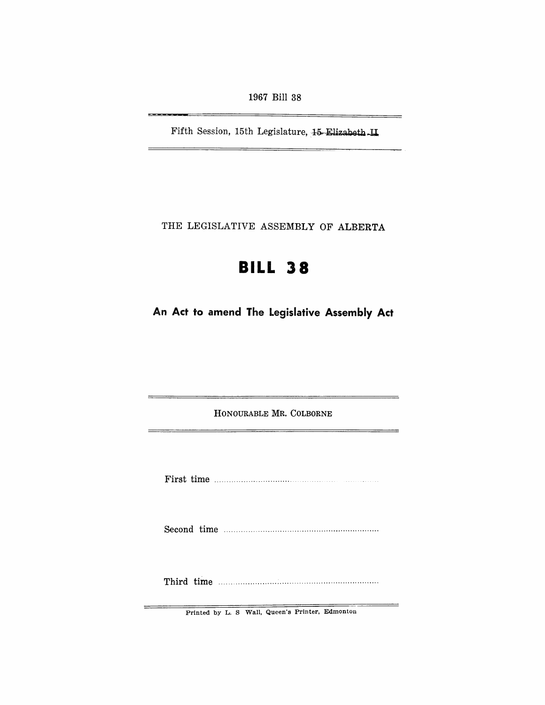1967 Bill 38

Fifth Session, 15th Legislature, 15 Elizabeth ... II.

THE LEGISLATIVE ASSEMBLY OF ALBERTA

# **BILL 38**

**An Act to amend The Legislative Assembly Act** 

HONOURABLE MR. COLBORNE

First time

Second time

Third time ................................................................. .

Printed by L. S Wall, Queen's Printer, Edmonton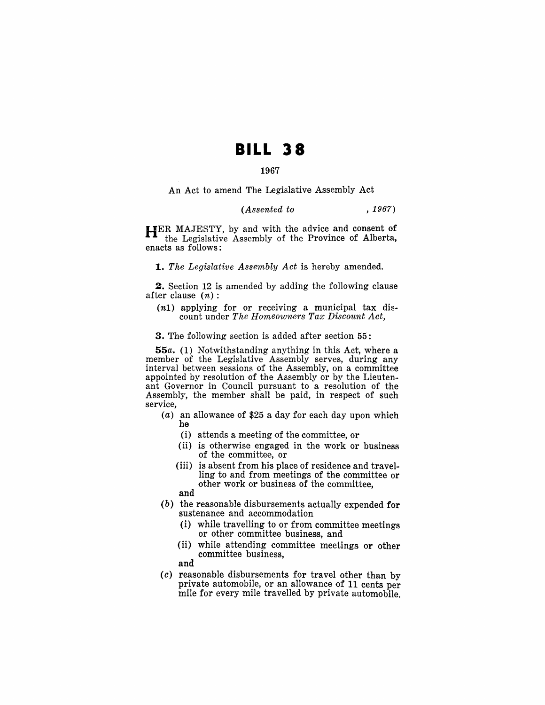## **BILL 38**

#### 1967

An Act to amend The Legislative Assembly Act

#### *(Assented to* , 1967)

HER MAJESTY, by and with the advice and consent of the Legislative Assembly of the Province of Alberta, enacts as follows:

*1. The Legislative Assembly Act* is hereby amended.

2. Section 12 is amended by adding the following clause after clause  $(n)$ :

(n1) applying for or receiving a municipal tax discount under *The Homeowners Tax Discount Act,* 

3. The following section is added after section 55:

*55a.* (1) Notwithstanding anything in this Act, where a member of the Legislative Assembly serves, during any interval between sessions of the Assembly, on a committee appointed by resolution of the Assembly or by the Lieutenant Governor in Council pursuant to a resolution of the Assembly, the member shall be paid, in respect of such service,

- (a) an allowance of \$25 a day for each day upon which he
	- $(i)$  attends a meeting of the committee, or
	- (ii) is otherwise engaged in the work or business of the committee, or
	- (iii) is absent from his place of residence and travelling to and from meetings of the committee or other work or business of the committee, and
	-
- (b) the reasonable disbursements actually expended for sustenance and accommodation
	- $(i)$  while travelling to or from committee meetings or other committee business, and
	- (ii) while attending committee meetings or other committee business,
	- and
- $(c)$  reasonable disbursements for travel other than by private automobile, or an allowance of 11 cents per mile for every mile travelled by private automobile.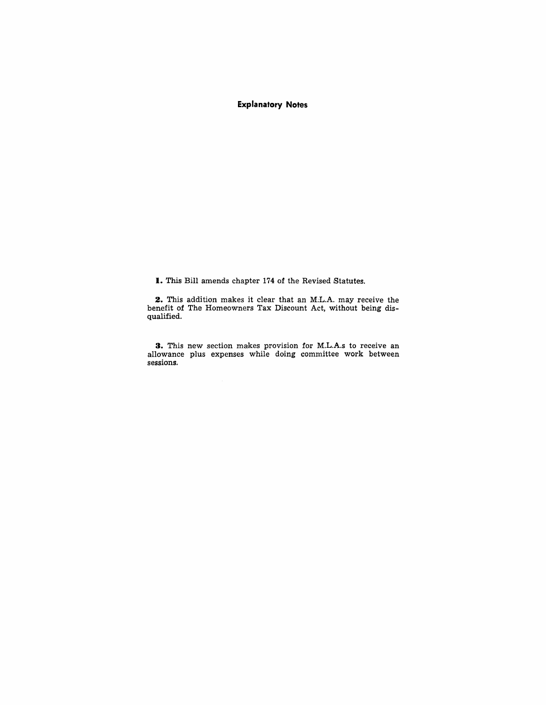### **Explanatory Notes**

**I.** This Bill amends chapter 174 of the Revised Statutes.

**2.** This addition makes it clear that an M.L.A. may receive the benefit of The Homeowners Tax Discount Act, without being disqualified.

**3.** This new section makes provision for M.L.A.s to receive an allowance plus expenses while doing committee work between sessions.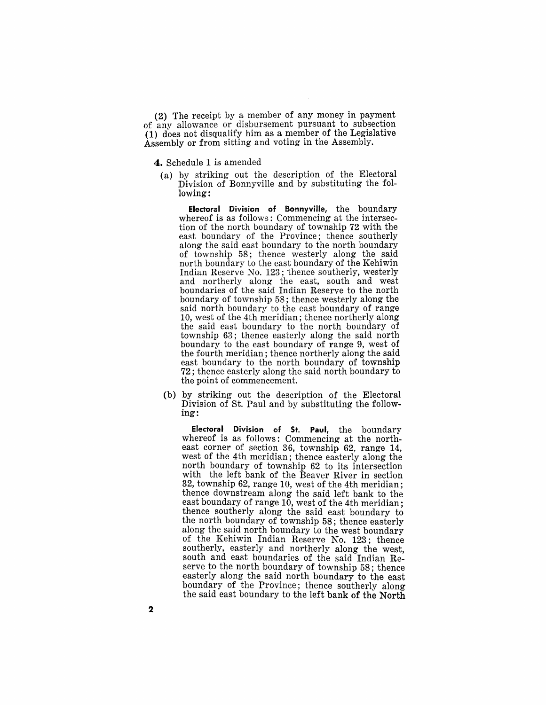(2) The receipt by a member of any money in payment of any allowance or disbursement pursuant to subsection (1) does not disqualify him as a member of the Legislative Assembly or from sitting and voting in the Assembly.

4. Schedule 1 is amended

(a) by striking out the description of the Electoral Division of Bonnyville and by substituting the following:

Electoral Division of Bonnyville, the boundary whereof is as follows: Commencing at the intersection of the north boundary of township 72 with the east boundary of the Province; thence southerly along the said east boundary to the north boundary of township 58; thence westerly along the said north boundary to the east boundary of the Kehiwin Indian Reserve No. 123; thence southerly, westerly and northerly along the east, south and west boundaries of the said Indian Reserve to the north boundary of township 58; thence westerly along the said north boundary to the east boundary of range 10, west of the 4th meridian; thence northerly along the said east boundary to the north boundary of township 63; thence easterly along the said north boundary to the east boundary of range 9, west of the fourth meridian; thence northerly along the said east boundary to the north boundary of township 72 ; thence easterly along the said north boundary to the point of commencement.

(b) by striking out the description of the Electoral Division of St. Paul and by substituting the following:

Electoral Division of St. Paul, the boundary whereof is as follows: Commencing at the northeast corner of section 36, township 62, range 14, west of the 4th meridian; thence easterly along the north boundary of township 62 to its intersection with the left bank of the Beaver River in section 32, township 62, range 10, west of the 4th meridian; thence downstream along the said left bank to the east boundary of range 10, west of the 4th meridian; thence southerly along the said east boundary to the north boundary of township 58; thence easterly along the said north boundary to the west boundary of the Kehiwin Indian Reserve No. 123; thence southerly, easterly and northerly along the west, south and east boundaries of the said Indian Reserve to the north boundary of township 58; thence easterly along the said north boundary to the east boundary of the Province; thence southerly along the said east boundary to the left bank of the North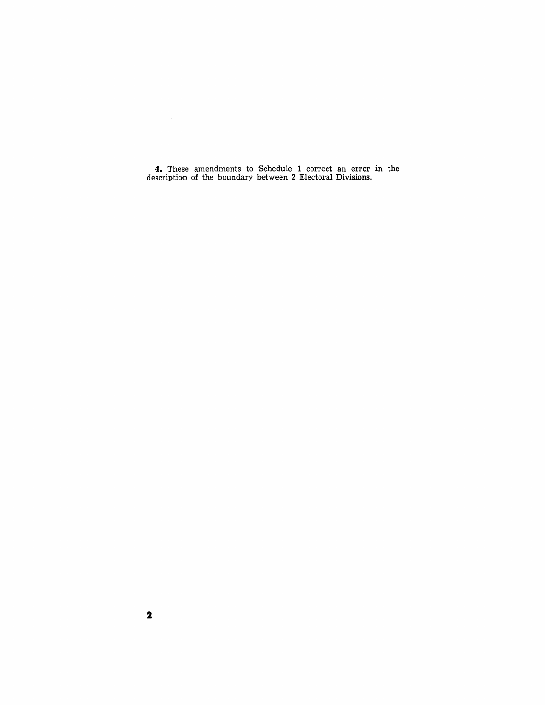**4.** These amendments to Schedule 1 correct an error **in** the description of the boundary between 2 Electoral Divisions.